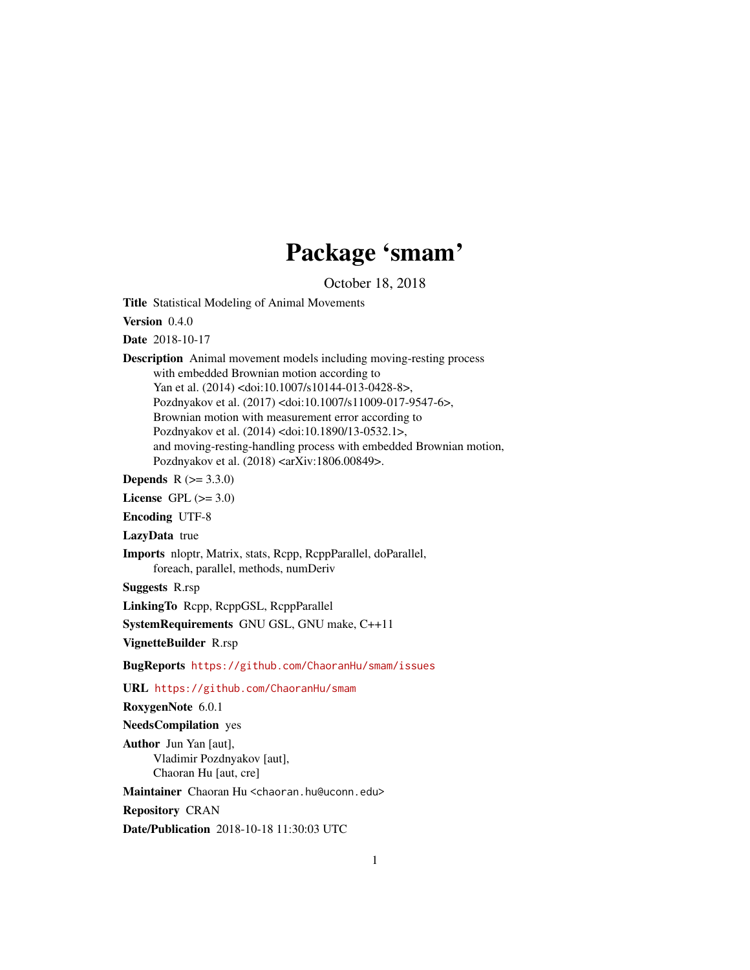# Package 'smam'

October 18, 2018

<span id="page-0-0"></span>Title Statistical Modeling of Animal Movements

Version 0.4.0

Date 2018-10-17

Description Animal movement models including moving-resting process with embedded Brownian motion according to Yan et al. (2014) <doi:10.1007/s10144-013-0428-8>, Pozdnyakov et al. (2017) <doi:10.1007/s11009-017-9547-6>, Brownian motion with measurement error according to Pozdnyakov et al. (2014) <doi:10.1890/13-0532.1>, and moving-resting-handling process with embedded Brownian motion, Pozdnyakov et al. (2018) <arXiv:1806.00849>.

**Depends** R  $(>= 3.3.0)$ 

License GPL  $(>= 3.0)$ 

Encoding UTF-8

LazyData true

Imports nloptr, Matrix, stats, Rcpp, RcppParallel, doParallel, foreach, parallel, methods, numDeriv

Suggests R.rsp

LinkingTo Rcpp, RcppGSL, RcppParallel

SystemRequirements GNU GSL, GNU make, C++11

VignetteBuilder R.rsp

BugReports <https://github.com/ChaoranHu/smam/issues>

URL <https://github.com/ChaoranHu/smam>

RoxygenNote 6.0.1

NeedsCompilation yes

Author Jun Yan [aut], Vladimir Pozdnyakov [aut], Chaoran Hu [aut, cre]

Maintainer Chaoran Hu <chaoran.hu@uconn.edu>

Repository CRAN

Date/Publication 2018-10-18 11:30:03 UTC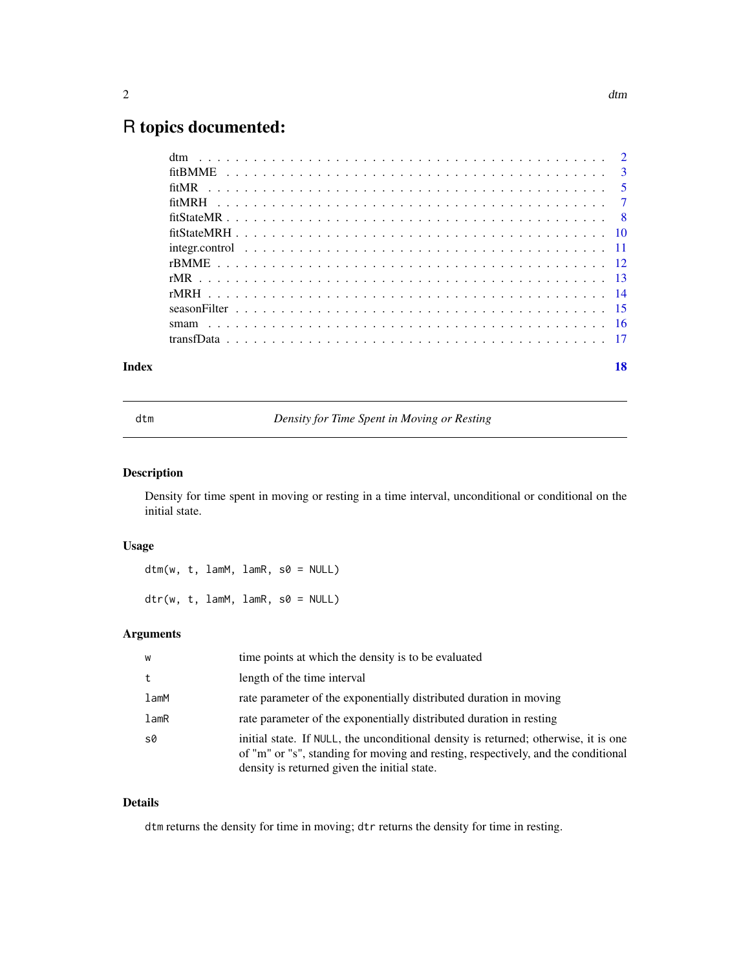## <span id="page-1-0"></span>R topics documented:

| Index | 18 |
|-------|----|
|       |    |
|       |    |
|       |    |
|       |    |
|       |    |
|       |    |
|       |    |
|       |    |
|       |    |
|       |    |
|       |    |
|       |    |
|       |    |

dtm *Density for Time Spent in Moving or Resting*

## Description

Density for time spent in moving or resting in a time interval, unconditional or conditional on the initial state.

#### Usage

 $dtm(w, t, lamM, lamR, s0 = NULL)$  $dir(w, t, lamM, lamR, s0 = NULL)$ 

#### Arguments

| W    | time points at which the density is to be evaluated                                                                                                                                                                      |
|------|--------------------------------------------------------------------------------------------------------------------------------------------------------------------------------------------------------------------------|
| t    | length of the time interval                                                                                                                                                                                              |
| lamM | rate parameter of the exponentially distributed duration in moving                                                                                                                                                       |
| lamR | rate parameter of the exponentially distributed duration in resting                                                                                                                                                      |
| s0   | initial state. If NULL, the unconditional density is returned; otherwise, it is one<br>of "m" or "s", standing for moving and resting, respectively, and the conditional<br>density is returned given the initial state. |

### Details

dtm returns the density for time in moving; dtr returns the density for time in resting.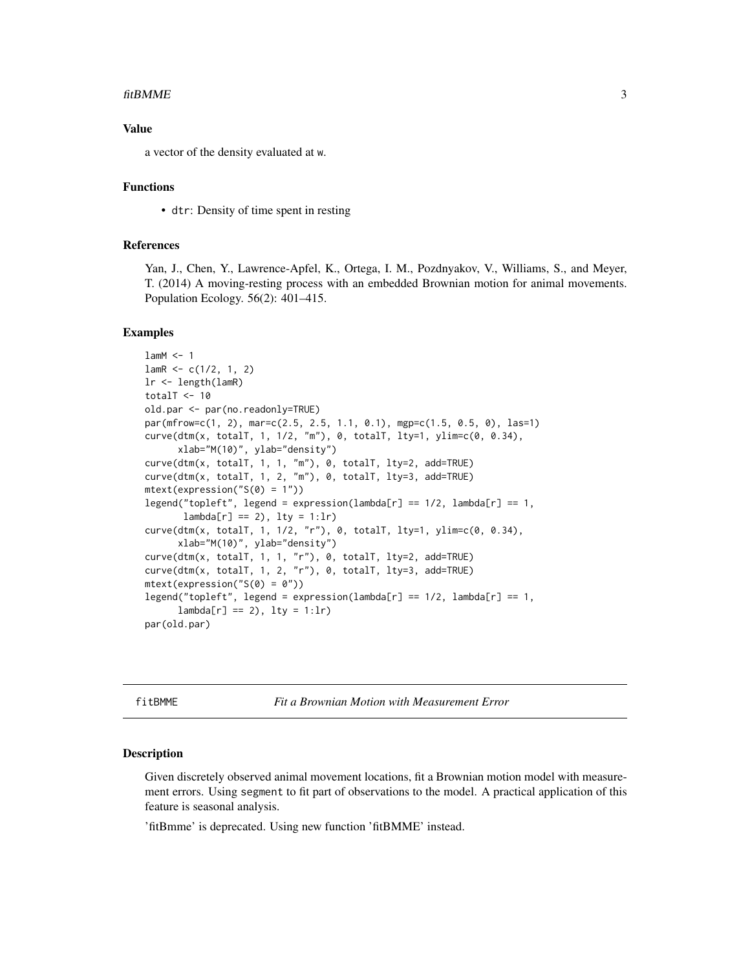#### <span id="page-2-0"></span>fitBMME 3

#### Value

a vector of the density evaluated at w.

#### Functions

• dtr: Density of time spent in resting

#### References

Yan, J., Chen, Y., Lawrence-Apfel, K., Ortega, I. M., Pozdnyakov, V., Williams, S., and Meyer, T. (2014) A moving-resting process with an embedded Brownian motion for animal movements. Population Ecology. 56(2): 401–415.

#### Examples

```
lamM < -1lamR < -c(1/2, 1, 2)lr <- length(lamR)
totalT <-10old.par <- par(no.readonly=TRUE)
par(mfrow=c(1, 2), mar=c(2.5, 2.5, 1.1, 0.1), mgp=c(1.5, 0.5, 0), las=1)
curve(dtm(x, totalT, 1, 1/2, "m"), 0, totalT, lty=1, ylim=c(0, 0.34),
      xlab="M(10)", ylab="density")
curve(dtm(x, totalT, 1, 1, "m"), 0, totalT, lty=2, add=TRUE)
curve(dtm(x, totalT, 1, 2, "m"), 0, totalT, lty=3, add=TRUE)
mtext(expression("S(0) = 1"))
legend("topleft", legend = expression(lambda[r] == 1/2, lambda[r] == 1,lambda[r] == 2), lty = 1:lr)
curve(dtm(x, totalT, 1, 1/2, "r"), 0, totalT, lty=1, ylim=c(0, 0.34),
     xlab="M(10)", ylab="density")
curve(dtm(x, totalT, 1, 1, "r"), 0, totalT, lty=2, add=TRUE)
curve(dtm(x, totalT, 1, 2, "r"), 0, totalT, lty=3, add=TRUE)
mtext{text}(expression("S(0) = 0"))legend("topleft", legend = expression(lambda[r] == 1/2, lambda[r] == 1,lambda[r] == 2), lty = 1:lrpar(old.par)
```
fitBMME *Fit a Brownian Motion with Measurement Error*

#### Description

Given discretely observed animal movement locations, fit a Brownian motion model with measurement errors. Using segment to fit part of observations to the model. A practical application of this feature is seasonal analysis.

'fitBmme' is deprecated. Using new function 'fitBMME' instead.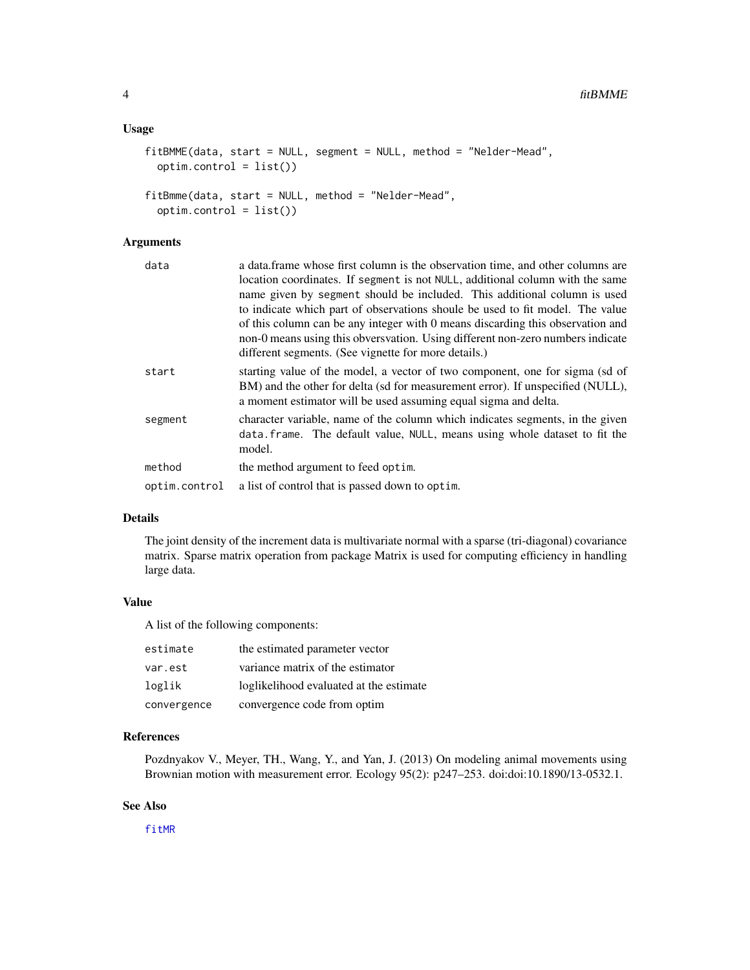#### <span id="page-3-0"></span>Usage

```
fitBAME(data, start = NULL, segment = NULL, method = "Nelder-Mead",option.contrib = list()fitBmme(data, start = NULL, method = "Nelder-Mead",
```
 $option.contrib = list()$ 

#### Arguments

| data          | a data frame whose first column is the observation time, and other columns are                                                                                                                                                    |  |
|---------------|-----------------------------------------------------------------------------------------------------------------------------------------------------------------------------------------------------------------------------------|--|
|               | location coordinates. If segment is not NULL, additional column with the same                                                                                                                                                     |  |
|               | name given by segment should be included. This additional column is used                                                                                                                                                          |  |
|               | to indicate which part of observations shoule be used to fit model. The value                                                                                                                                                     |  |
|               | of this column can be any integer with 0 means discarding this observation and                                                                                                                                                    |  |
|               | non-0 means using this obversvation. Using different non-zero numbers indicate                                                                                                                                                    |  |
|               | different segments. (See vignette for more details.)                                                                                                                                                                              |  |
| start         | starting value of the model, a vector of two component, one for sigma (sd of<br>BM) and the other for delta (sd for measurement error). If unspecified (NULL),<br>a moment estimator will be used assuming equal sigma and delta. |  |
| segment       | character variable, name of the column which indicates segments, in the given<br>data.frame. The default value, NULL, means using whole dataset to fit the<br>model.                                                              |  |
| method        | the method argument to feed optim.                                                                                                                                                                                                |  |
| optim.control | a list of control that is passed down to optim.                                                                                                                                                                                   |  |
|               |                                                                                                                                                                                                                                   |  |

#### Details

The joint density of the increment data is multivariate normal with a sparse (tri-diagonal) covariance matrix. Sparse matrix operation from package Matrix is used for computing efficiency in handling large data.

#### Value

A list of the following components:

| estimate    | the estimated parameter vector          |
|-------------|-----------------------------------------|
| var.est     | variance matrix of the estimator        |
| loglik      | loglikelihood evaluated at the estimate |
| convergence | convergence code from optim             |

#### References

Pozdnyakov V., Meyer, TH., Wang, Y., and Yan, J. (2013) On modeling animal movements using Brownian motion with measurement error. Ecology 95(2): p247–253. doi:doi:10.1890/13-0532.1.

#### See Also

[fitMR](#page-4-1)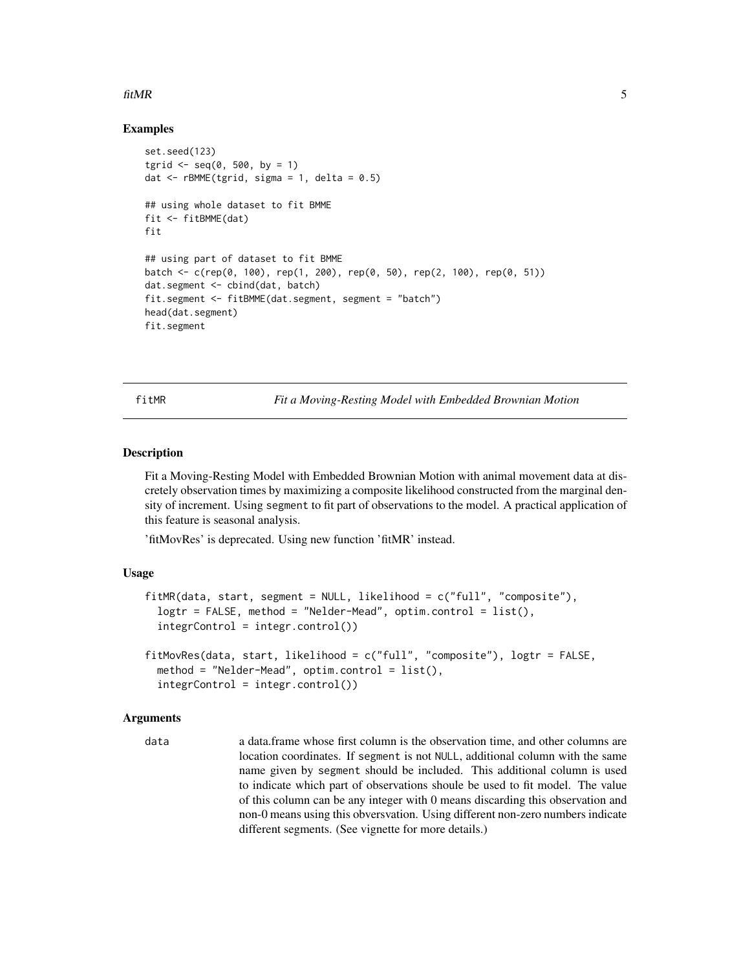#### <span id="page-4-0"></span>fitMR 5

#### Examples

```
set.seed(123)
tgrid \leq - seq(0, 500, by = 1)
dat \leq rBMME(tgrid, sigma = 1, delta = 0.5)
## using whole dataset to fit BMME
fit <- fitBMME(dat)
fit
## using part of dataset to fit BMME
batch <- c(rep(0, 100), rep(1, 200), rep(0, 50), rep(2, 100), rep(0, 51))
dat.segment <- cbind(dat, batch)
fit.segment <- fitBMME(dat.segment, segment = "batch")
head(dat.segment)
fit.segment
```
<span id="page-4-1"></span>fitMR *Fit a Moving-Resting Model with Embedded Brownian Motion*

#### **Description**

Fit a Moving-Resting Model with Embedded Brownian Motion with animal movement data at discretely observation times by maximizing a composite likelihood constructed from the marginal density of increment. Using segment to fit part of observations to the model. A practical application of this feature is seasonal analysis.

'fitMovRes' is deprecated. Using new function 'fitMR' instead.

#### Usage

```
fitMR(data, start, segment = NULL, likelihood = c("full", "composite"),
  logtr = FALSE, method = "Nelder-Mead", optim.control = list(),
  integrControl = integr.control())
fitMovRes(data, start, likelihood = c("full", "composite"), logtr = FALSE,
  method = "Nelder-Mead", optim.control = list(),
  integrControl = integr.control())
```
#### Arguments

data a data.frame whose first column is the observation time, and other columns are location coordinates. If segment is not NULL, additional column with the same name given by segment should be included. This additional column is used to indicate which part of observations shoule be used to fit model. The value of this column can be any integer with 0 means discarding this observation and non-0 means using this obversvation. Using different non-zero numbers indicate different segments. (See vignette for more details.)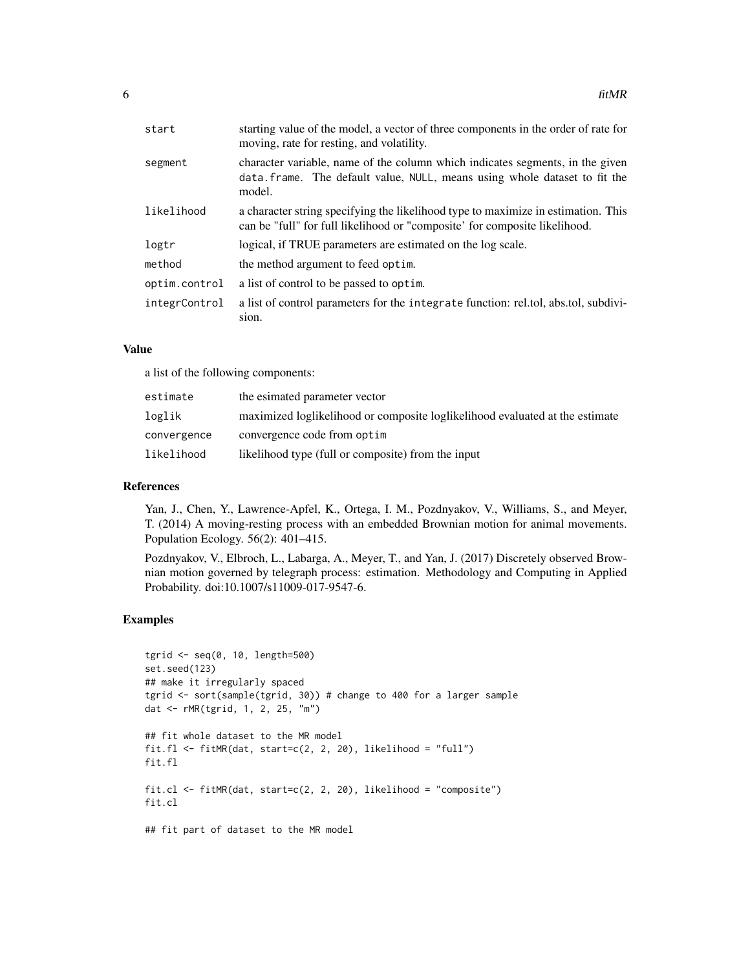| start         | starting value of the model, a vector of three components in the order of rate for<br>moving, rate for resting, and volatility.                                       |  |
|---------------|-----------------------------------------------------------------------------------------------------------------------------------------------------------------------|--|
| segment       | character variable, name of the column which indicates segments, in the given<br>data. frame. The default value, NULL, means using whole dataset to fit the<br>model. |  |
| likelihood    | a character string specifying the likelihood type to maximize in estimation. This<br>can be "full" for full likelihood or "composite' for composite likelihood.       |  |
| logtr         | logical, if TRUE parameters are estimated on the log scale.                                                                                                           |  |
| method        | the method argument to feed optim.                                                                                                                                    |  |
| optim.control | a list of control to be passed to optim.                                                                                                                              |  |
| integrControl | a list of control parameters for the integrate function: rel.tol, abs.tol, subdivi-<br>sion.                                                                          |  |

#### Value

a list of the following components:

| estimate    | the esimated parameter vector                                                |
|-------------|------------------------------------------------------------------------------|
| loglik      | maximized loglikelihood or composite loglikelihood evaluated at the estimate |
| convergence | convergence code from optim                                                  |
| likelihood  | likelihood type (full or composite) from the input                           |

#### References

Yan, J., Chen, Y., Lawrence-Apfel, K., Ortega, I. M., Pozdnyakov, V., Williams, S., and Meyer, T. (2014) A moving-resting process with an embedded Brownian motion for animal movements. Population Ecology. 56(2): 401–415.

Pozdnyakov, V., Elbroch, L., Labarga, A., Meyer, T., and Yan, J. (2017) Discretely observed Brownian motion governed by telegraph process: estimation. Methodology and Computing in Applied Probability. doi:10.1007/s11009-017-9547-6.

#### Examples

```
tgrid <- seq(0, 10, length=500)
set.seed(123)
## make it irregularly spaced
tgrid <- sort(sample(tgrid, 30)) # change to 400 for a larger sample
dat <- rMR(tgrid, 1, 2, 25, "m")
## fit whole dataset to the MR model
fit.fl \le fitMR(dat, start=c(2, 2, 20), likelihood = "full")
fit.fl
fit.cl \le fitMR(dat, start=c(2, 2, 20), likelihood = "composite")
fit.cl
## fit part of dataset to the MR model
```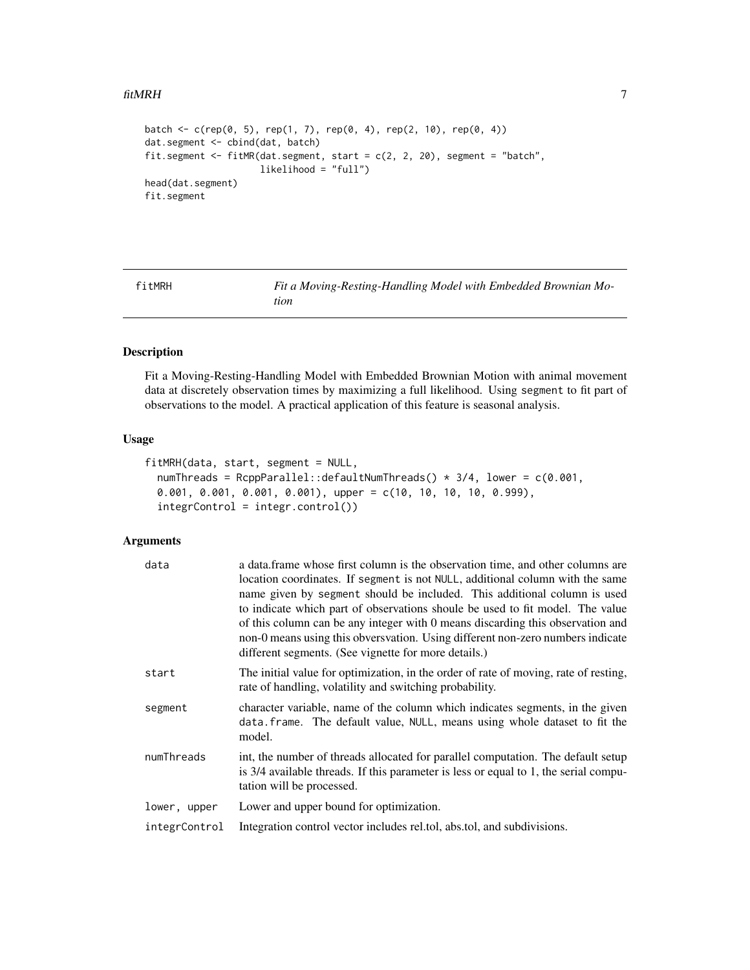#### <span id="page-6-0"></span>fitMRH 7

```
batch <- c(rep(0, 5), rep(1, 7), rep(0, 4), rep(2, 10), rep(0, 4))
dat.segment <- cbind(dat, batch)
fit.segment <- fitMR(dat.segment, start = c(2, 2, 20), segment = "batch",
                     likelihood = "full")
head(dat.segment)
fit.segment
```
<span id="page-6-1"></span>fitMRH *Fit a Moving-Resting-Handling Model with Embedded Brownian Motion*

#### Description

Fit a Moving-Resting-Handling Model with Embedded Brownian Motion with animal movement data at discretely observation times by maximizing a full likelihood. Using segment to fit part of observations to the model. A practical application of this feature is seasonal analysis.

#### Usage

```
fitMRH(data, start, segment = NULL,
  numThreads = RcppParallel::defaultNumThreads() * 3/4, lower = c(0.001,
 0.001, 0.001, 0.001, 0.001), upper = c(10, 10, 10, 10, 0.999),
  integrControl = integr.control())
```
#### Arguments

| data          | a data frame whose first column is the observation time, and other columns are<br>location coordinates. If segment is not NULL, additional column with the same<br>name given by segment should be included. This additional column is used<br>to indicate which part of observations shoule be used to fit model. The value<br>of this column can be any integer with 0 means discarding this observation and<br>non-0 means using this obversvation. Using different non-zero numbers indicate<br>different segments. (See vignette for more details.) |
|---------------|----------------------------------------------------------------------------------------------------------------------------------------------------------------------------------------------------------------------------------------------------------------------------------------------------------------------------------------------------------------------------------------------------------------------------------------------------------------------------------------------------------------------------------------------------------|
| start         | The initial value for optimization, in the order of rate of moving, rate of resting,<br>rate of handling, volatility and switching probability.                                                                                                                                                                                                                                                                                                                                                                                                          |
| segment       | character variable, name of the column which indicates segments, in the given<br>data. frame. The default value, NULL, means using whole dataset to fit the<br>model.                                                                                                                                                                                                                                                                                                                                                                                    |
| numThreads    | int, the number of threads allocated for parallel computation. The default setup<br>is 3/4 available threads. If this parameter is less or equal to 1, the serial compu-<br>tation will be processed.                                                                                                                                                                                                                                                                                                                                                    |
| lower, upper  | Lower and upper bound for optimization.                                                                                                                                                                                                                                                                                                                                                                                                                                                                                                                  |
| integrControl | Integration control vector includes rel.tol, abs.tol, and subdivisions.                                                                                                                                                                                                                                                                                                                                                                                                                                                                                  |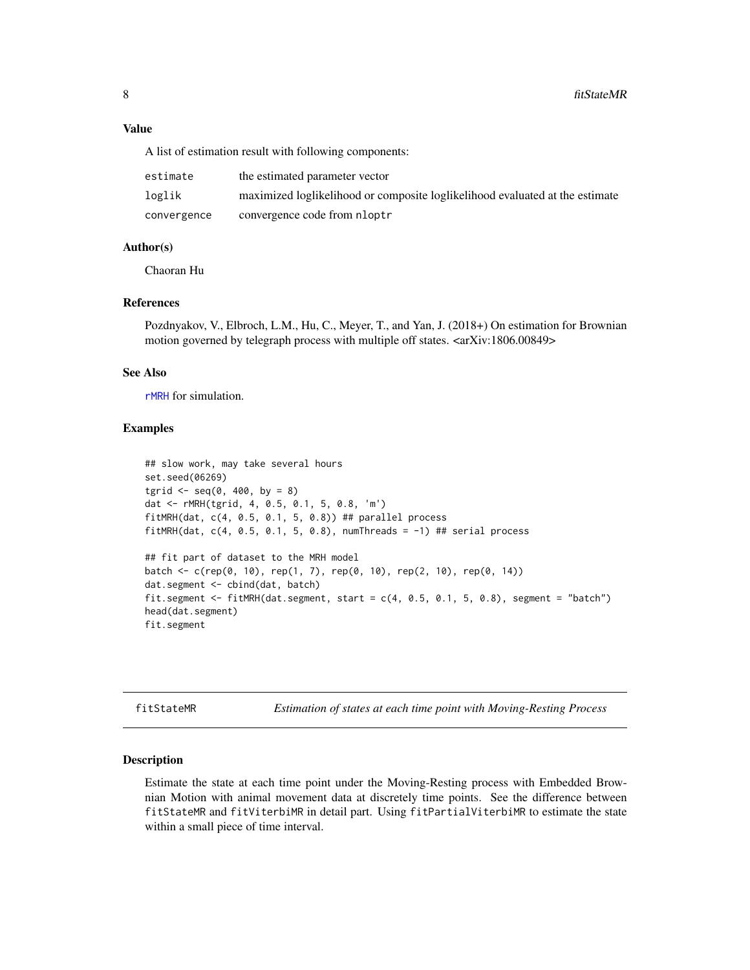<span id="page-7-0"></span>A list of estimation result with following components:

| estimate    | the estimated parameter vector                                               |
|-------------|------------------------------------------------------------------------------|
| loglik      | maximized loglikelihood or composite loglikelihood evaluated at the estimate |
| convergence | convergence code from nloptr                                                 |

#### Author(s)

Chaoran Hu

#### References

Pozdnyakov, V., Elbroch, L.M., Hu, C., Meyer, T., and Yan, J. (2018+) On estimation for Brownian motion governed by telegraph process with multiple off states. <arXiv:1806.00849>

#### See Also

[rMRH](#page-13-1) for simulation.

#### Examples

```
## slow work, may take several hours
set.seed(06269)
tgrid \leq - seq(0, 400, by = 8)
dat <- rMRH(tgrid, 4, 0.5, 0.1, 5, 0.8, 'm')
fitMRH(dat, c(4, 0.5, 0.1, 5, 0.8)) ## parallel process
fitMRH(dat, c(4, 0.5, 0.1, 5, 0.8), numThreads = -1) ## serial process
## fit part of dataset to the MRH model
batch <- c(rep(0, 10), rep(1, 7), rep(0, 10), rep(2, 10), rep(0, 14))
dat.segment <- cbind(dat, batch)
fit.segment <- fitMRH(dat.segment, start = c(4, 0.5, 0.1, 5, 0.8), segment = "batch")
head(dat.segment)
fit.segment
```
fitStateMR *Estimation of states at each time point with Moving-Resting Process*

#### Description

Estimate the state at each time point under the Moving-Resting process with Embedded Brownian Motion with animal movement data at discretely time points. See the difference between fitStateMR and fitViterbiMR in detail part. Using fitPartialViterbiMR to estimate the state within a small piece of time interval.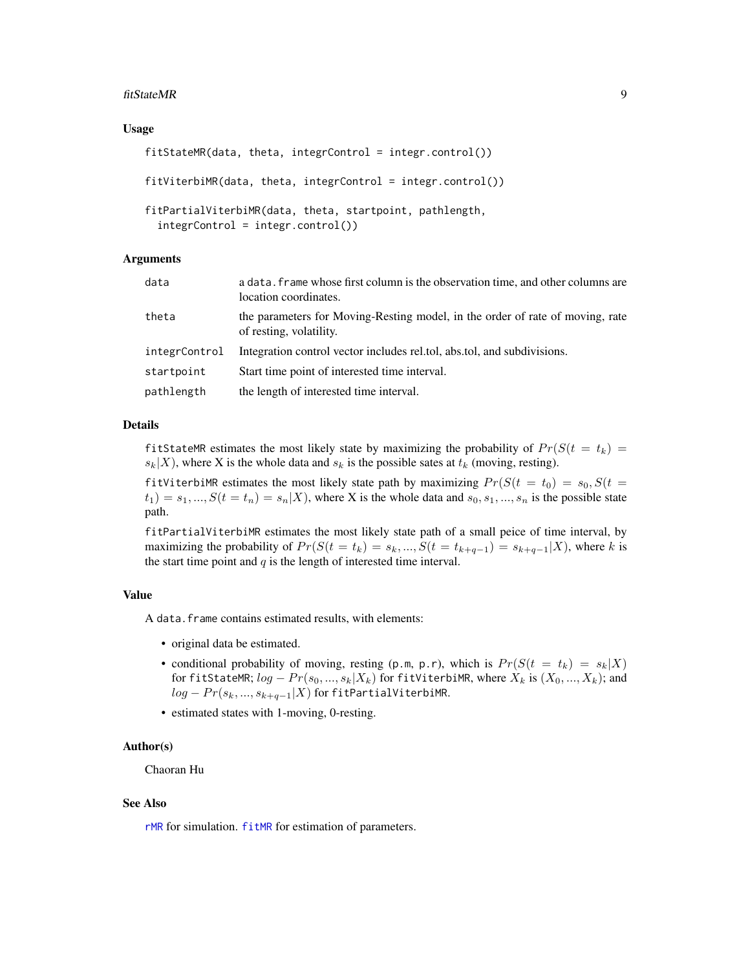#### <span id="page-8-0"></span>fitStateMR 9

#### Usage

```
fitStateMR(data, theta, integrControl = integr.control())
fitViterbiMR(data, theta, integrControl = integr.control())
fitPartialViterbiMR(data, theta, startpoint, pathlength,
  integrControl = integr.control())
```
#### Arguments

| data          | a data. frame whose first column is the observation time, and other columns are<br>location coordinates. |
|---------------|----------------------------------------------------------------------------------------------------------|
| theta         | the parameters for Moving-Resting model, in the order of rate of moving, rate<br>of resting, volatility. |
| integrControl | Integration control vector includes rel.tol, abs.tol, and subdivisions.                                  |
| startpoint    | Start time point of interested time interval.                                                            |
| pathlength    | the length of interested time interval.                                                                  |

#### Details

fitStateMR estimates the most likely state by maximizing the probability of  $Pr(S(t = t_k) =$  $s_k|X$ , where X is the whole data and  $s_k$  is the possible sates at  $t_k$  (moving, resting).

fitViterbiMR estimates the most likely state path by maximizing  $Pr(S(t = t_0) = s_0, S(t =$  $t_1$ ) =  $s_1, ..., S(t = t_n) = s_n|X$ , where X is the whole data and  $s_0, s_1, ..., s_n$  is the possible state path.

fitPartialViterbiMR estimates the most likely state path of a small peice of time interval, by maximizing the probability of  $Pr(S(t = t_k) = s_k, ..., S(t = t_{k+q-1}) = s_{k+q-1}|X)$ , where k is the start time point and  $q$  is the length of interested time interval.

#### Value

A data.frame contains estimated results, with elements:

- original data be estimated.
- conditional probability of moving, resting (p.m, p.r), which is  $Pr(S(t = t_k) = s_k|X)$ for fitStateMR;  $log - Pr(s_0, ..., s_k | X_k)$  for fitViterbiMR, where  $X_k$  is  $(X_0, ..., X_k)$ ; and  $log - Pr(s_k, ..., s_{k+q-1}|X)$  for fitPartialViterbiMR.
- estimated states with 1-moving, 0-resting.

#### Author(s)

Chaoran Hu

#### See Also

[rMR](#page-12-1) for simulation. [fitMR](#page-4-1) for estimation of parameters.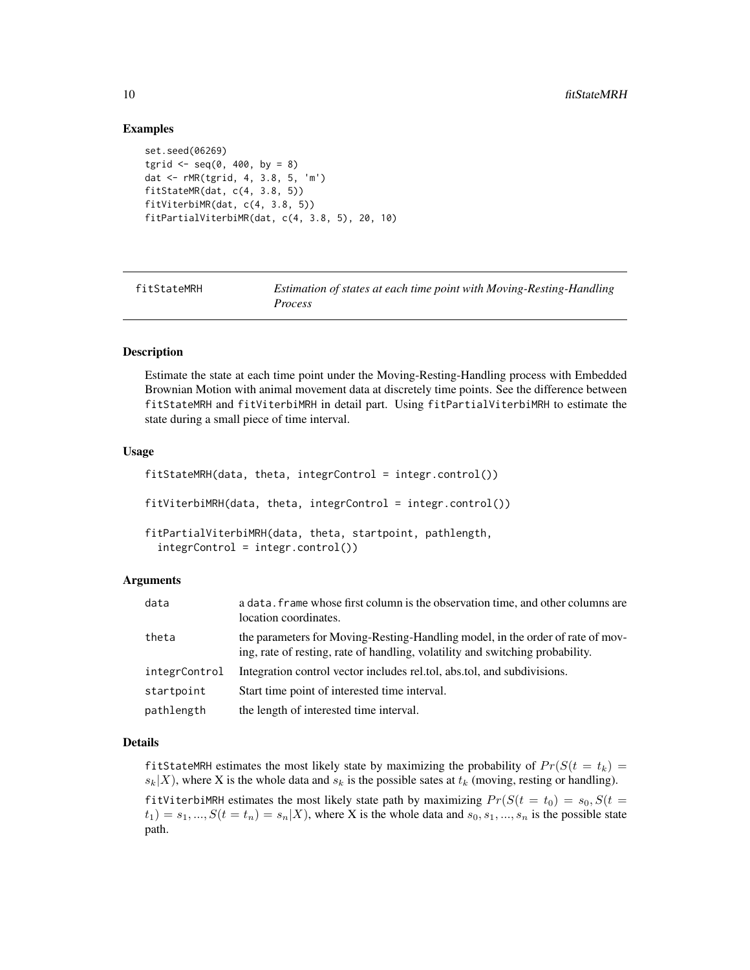#### Examples

```
set.seed(06269)
tgrid \leq - seq(0, 400, by = 8)
dat <- rMR(tgrid, 4, 3.8, 5, 'm')
fitStateMR(dat, c(4, 3.8, 5))
fitViterbiMR(dat, c(4, 3.8, 5))
fitPartialViterbiMR(dat, c(4, 3.8, 5), 20, 10)
```

| fitStateMRH | Estimation of states at each time point with Moving-Resting-Handling |
|-------------|----------------------------------------------------------------------|
|             | <i>Process</i>                                                       |

#### Description

Estimate the state at each time point under the Moving-Resting-Handling process with Embedded Brownian Motion with animal movement data at discretely time points. See the difference between fitStateMRH and fitViterbiMRH in detail part. Using fitPartialViterbiMRH to estimate the state during a small piece of time interval.

#### Usage

```
fitStateMRH(data, theta, integrControl = integr.control())
fitViterbiMRH(data, theta, integrControl = integr.control())
fitPartialViterbiMRH(data, theta, startpoint, pathlength,
  integrControl = integr.control())
```
#### Arguments

| data          | a data. Frame whose first column is the observation time, and other columns are<br>location coordinates.                                                        |
|---------------|-----------------------------------------------------------------------------------------------------------------------------------------------------------------|
| theta         | the parameters for Moving-Resting-Handling model, in the order of rate of mov-<br>ing, rate of resting, rate of handling, volatility and switching probability. |
| integrControl | Integration control vector includes rel.tol, abs.tol, and subdivisions.                                                                                         |
| startpoint    | Start time point of interested time interval.                                                                                                                   |
| pathlength    | the length of interested time interval.                                                                                                                         |

#### Details

fitStateMRH estimates the most likely state by maximizing the probability of  $Pr(S(t = t_k)$  $s_k|X$ , where X is the whole data and  $s_k$  is the possible sates at  $t_k$  (moving, resting or handling).

fitViterbiMRH estimates the most likely state path by maximizing  $Pr(S(t = t_0) = s_0, S(t =$  $t_1$ ) =  $s_1, ..., S(t = t_n) = s_n|X$ , where X is the whole data and  $s_0, s_1, ..., s_n$  is the possible state path.

<span id="page-9-0"></span>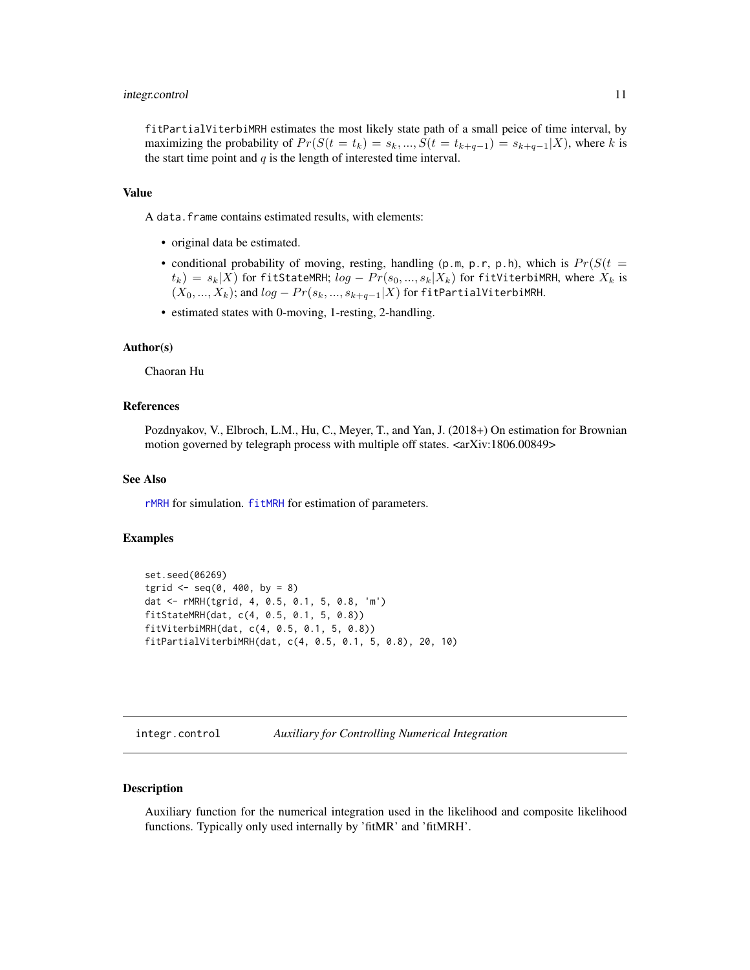#### <span id="page-10-0"></span>integr.control 11

fitPartialViterbiMRH estimates the most likely state path of a small peice of time interval, by maximizing the probability of  $Pr(S(t = t_k) = s_k, ..., S(t = t_{k+q-1}) = s_{k+q-1}|X)$ , where k is the start time point and  $q$  is the length of interested time interval.

#### Value

A data.frame contains estimated results, with elements:

- original data be estimated.
- conditional probability of moving, resting, handling (p.m, p.r, p.h), which is  $Pr(S(t =$  $t_k$ ) =  $s_k|X$ ) for fitStateMRH;  $log - Pr(s_0, ..., s_k|X_k)$  for fitViterbiMRH, where  $X_k$  is  $(X_0, ..., X_k)$ ; and  $log - Pr(s_k, ..., s_{k+q-1} | X)$  for fitPartialViterbiMRH.
- estimated states with 0-moving, 1-resting, 2-handling.

#### Author(s)

Chaoran Hu

#### References

Pozdnyakov, V., Elbroch, L.M., Hu, C., Meyer, T., and Yan, J. (2018+) On estimation for Brownian motion governed by telegraph process with multiple off states. <arXiv:1806.00849>

#### See Also

[rMRH](#page-13-1) for simulation. [fitMRH](#page-6-1) for estimation of parameters.

#### Examples

```
set.seed(06269)
tgrid \leq - seq(0, 400, by = 8)
dat <- rMRH(tgrid, 4, 0.5, 0.1, 5, 0.8, 'm')
fitStateMRH(dat, c(4, 0.5, 0.1, 5, 0.8))
fitViterbiMRH(dat, c(4, 0.5, 0.1, 5, 0.8))
fitPartialViterbiMRH(dat, c(4, 0.5, 0.1, 5, 0.8), 20, 10)
```
integr.control *Auxiliary for Controlling Numerical Integration*

#### Description

Auxiliary function for the numerical integration used in the likelihood and composite likelihood functions. Typically only used internally by 'fitMR' and 'fitMRH'.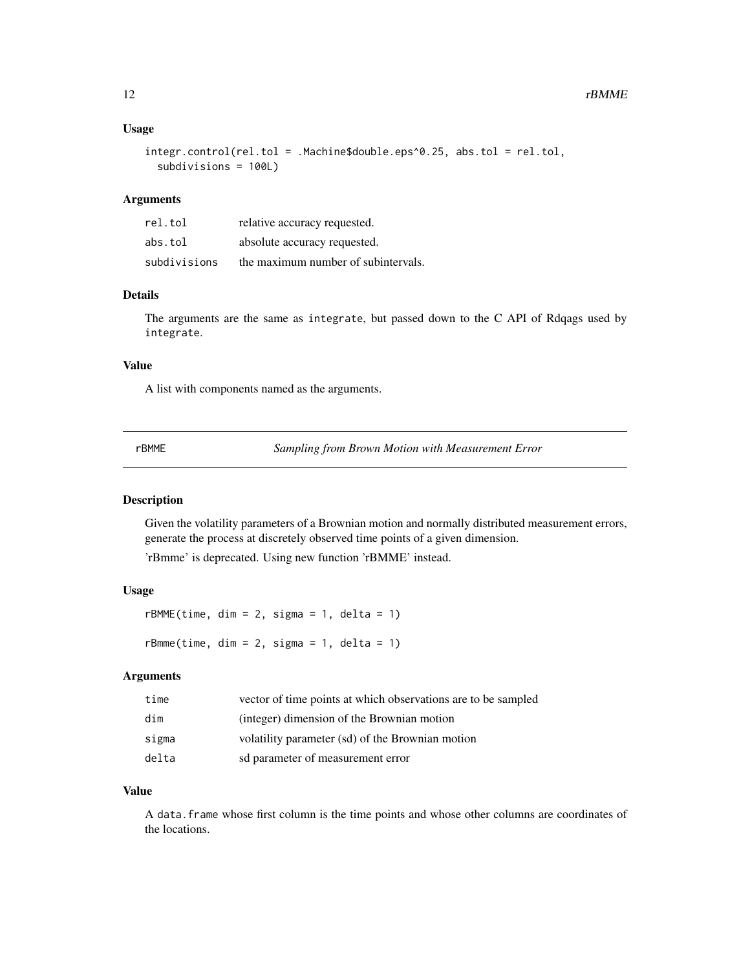#### <span id="page-11-0"></span>Usage

```
integr.control(rel.tol = .Machine$double.eps^0.25, abs.tol = rel.tol,
  subdivisions = 100L)
```
#### **Arguments**

| rel.tol      | relative accuracy requested.        |
|--------------|-------------------------------------|
| abs.tol      | absolute accuracy requested.        |
| subdivisions | the maximum number of subintervals. |

#### Details

The arguments are the same as integrate, but passed down to the C API of Rdqags used by integrate.

#### Value

A list with components named as the arguments.

rBMME *Sampling from Brown Motion with Measurement Error*

#### Description

Given the volatility parameters of a Brownian motion and normally distributed measurement errors, generate the process at discretely observed time points of a given dimension.

'rBmme' is deprecated. Using new function 'rBMME' instead.

#### Usage

 $r$ BMME(time, dim = 2, sigma = 1, delta = 1)  $rBmm (time, dim = 2, sigma = 1, delta = 1)$ 

#### Arguments

| time  | vector of time points at which observations are to be sampled |
|-------|---------------------------------------------------------------|
| dim   | (integer) dimension of the Brownian motion                    |
| sigma | volatility parameter (sd) of the Brownian motion              |
| delta | sd parameter of measurement error                             |

#### Value

A data.frame whose first column is the time points and whose other columns are coordinates of the locations.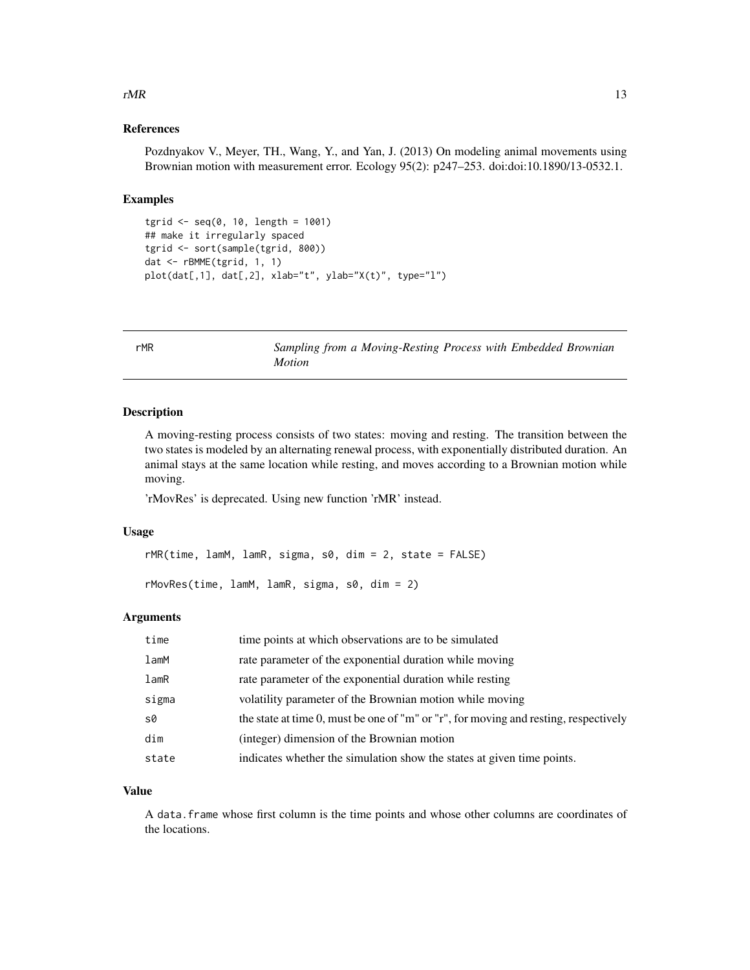#### <span id="page-12-0"></span> $rMR$  13

#### References

Pozdnyakov V., Meyer, TH., Wang, Y., and Yan, J. (2013) On modeling animal movements using Brownian motion with measurement error. Ecology 95(2): p247–253. doi:doi:10.1890/13-0532.1.

#### Examples

```
tgrid <- seq(0, 10, length = 1001)
## make it irregularly spaced
tgrid <- sort(sample(tgrid, 800))
dat <- rBMME(tgrid, 1, 1)
plot(dat[,1], dat[,2], xlab="t", ylab="X(t)", type="l")
```
<span id="page-12-1"></span>rMR *Sampling from a Moving-Resting Process with Embedded Brownian Motion*

#### Description

A moving-resting process consists of two states: moving and resting. The transition between the two states is modeled by an alternating renewal process, with exponentially distributed duration. An animal stays at the same location while resting, and moves according to a Brownian motion while moving.

'rMovRes' is deprecated. Using new function 'rMR' instead.

#### Usage

rMR(time, lamM, lamR, sigma, s0, dim = 2, state = FALSE)

rMovRes(time, lamM, lamR, sigma, s0, dim = 2)

#### Arguments

| time       | time points at which observations are to be simulated                                |
|------------|--------------------------------------------------------------------------------------|
| $l$ am $M$ | rate parameter of the exponential duration while moving                              |
| lamR       | rate parameter of the exponential duration while resting                             |
| sigma      | volatility parameter of the Brownian motion while moving                             |
| s0         | the state at time 0, must be one of "m" or "r", for moving and resting, respectively |
| dim        | (integer) dimension of the Brownian motion                                           |
| state      | indicates whether the simulation show the states at given time points.               |

#### Value

A data.frame whose first column is the time points and whose other columns are coordinates of the locations.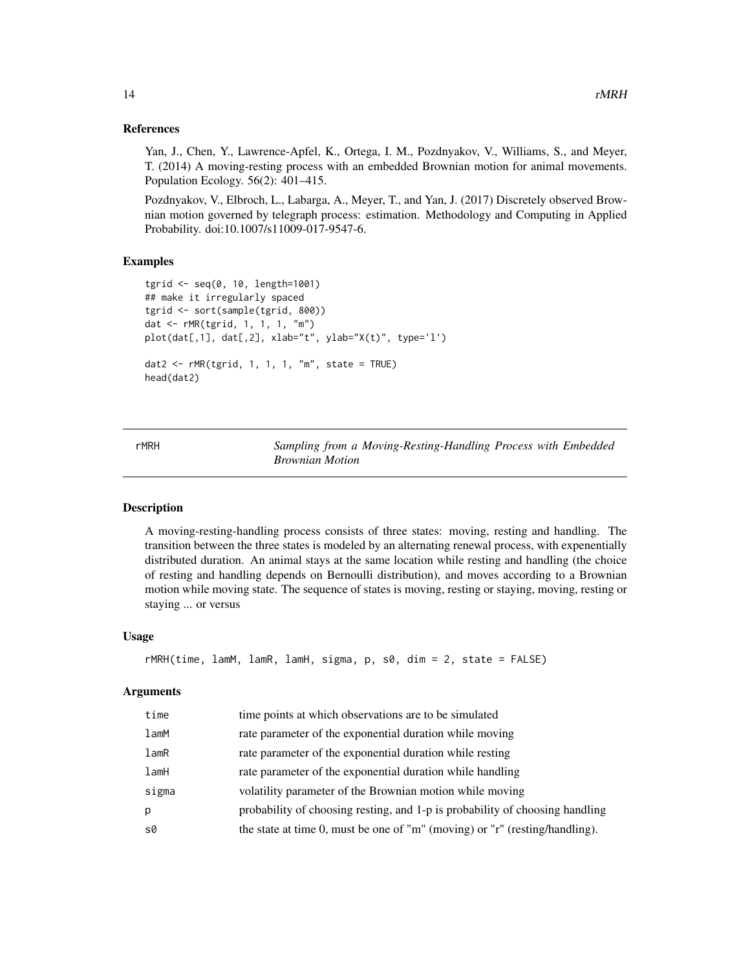#### <span id="page-13-0"></span>References

Yan, J., Chen, Y., Lawrence-Apfel, K., Ortega, I. M., Pozdnyakov, V., Williams, S., and Meyer, T. (2014) A moving-resting process with an embedded Brownian motion for animal movements. Population Ecology. 56(2): 401–415.

Pozdnyakov, V., Elbroch, L., Labarga, A., Meyer, T., and Yan, J. (2017) Discretely observed Brownian motion governed by telegraph process: estimation. Methodology and Computing in Applied Probability. doi:10.1007/s11009-017-9547-6.

#### Examples

```
tgrid <- seq(0, 10, length=1001)
## make it irregularly spaced
tgrid <- sort(sample(tgrid, 800))
dat <- rMR(tgrid, 1, 1, 1, "m")
plot(dat[,1], dat[,2], xlab="t", ylab="X(t)", type='l')
dat2 <- rMR(tgrid, 1, 1, 1, "m", state = TRUE)
head(dat2)
```
<span id="page-13-1"></span>

rMRH *Sampling from a Moving-Resting-Handling Process with Embedded Brownian Motion*

#### **Description**

A moving-resting-handling process consists of three states: moving, resting and handling. The transition between the three states is modeled by an alternating renewal process, with expenentially distributed duration. An animal stays at the same location while resting and handling (the choice of resting and handling depends on Bernoulli distribution), and moves according to a Brownian motion while moving state. The sequence of states is moving, resting or staying, moving, resting or staying ... or versus

#### Usage

```
rMRH(time, lamM, lamR, lamH, sigma, p, s0, dim = 2, state = FALSE)
```
#### Arguments

| time  | time points at which observations are to be simulated                        |
|-------|------------------------------------------------------------------------------|
| lamM  | rate parameter of the exponential duration while moving                      |
| lamR  | rate parameter of the exponential duration while resting                     |
| lamH  | rate parameter of the exponential duration while handling                    |
| sigma | volatility parameter of the Brownian motion while moving                     |
| p     | probability of choosing resting, and 1-p is probability of choosing handling |
| s0    | the state at time 0, must be one of "m" (moving) or "r" (resting/handling).  |
|       |                                                                              |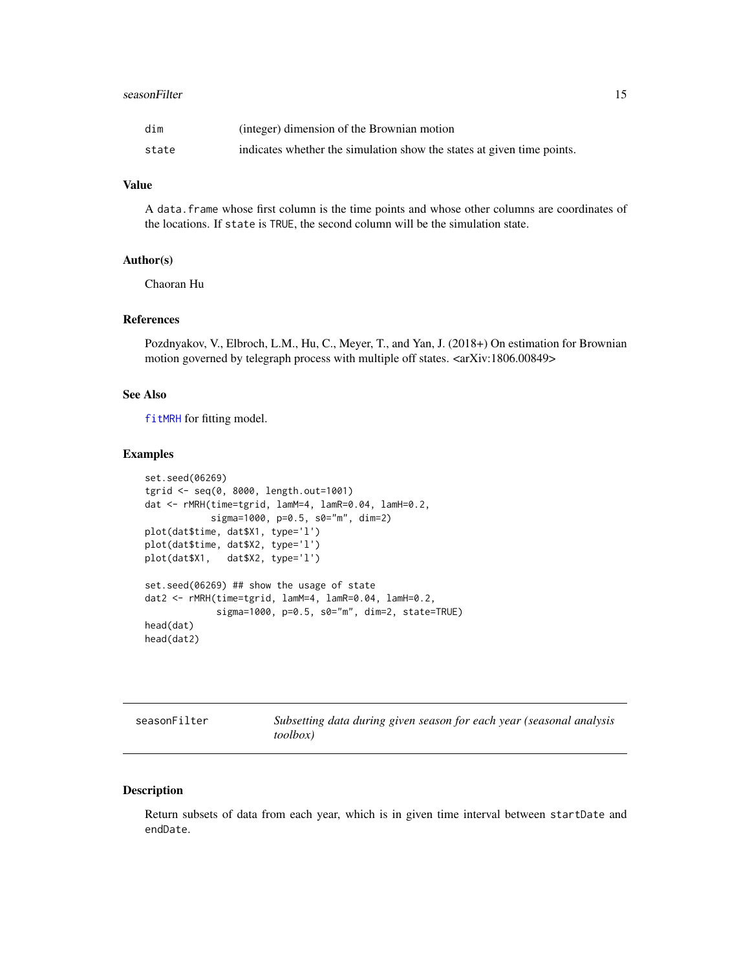#### <span id="page-14-0"></span>seasonFilter 15

| dim   | (integer) dimension of the Brownian motion                             |
|-------|------------------------------------------------------------------------|
| state | indicates whether the simulation show the states at given time points. |

#### Value

A data.frame whose first column is the time points and whose other columns are coordinates of the locations. If state is TRUE, the second column will be the simulation state.

#### Author(s)

Chaoran Hu

#### References

Pozdnyakov, V., Elbroch, L.M., Hu, C., Meyer, T., and Yan, J. (2018+) On estimation for Brownian motion governed by telegraph process with multiple off states. <arXiv:1806.00849>

#### See Also

[fitMRH](#page-6-1) for fitting model.

#### Examples

```
set.seed(06269)
tgrid <- seq(0, 8000, length.out=1001)
dat <- rMRH(time=tgrid, lamM=4, lamR=0.04, lamH=0.2,
            sigma=1000, p=0.5, s0="m", dim=2)
plot(dat$time, dat$X1, type='l')
plot(dat$time, dat$X2, type='l')
plot(dat$X1, dat$X2, type='l')
set.seed(06269) ## show the usage of state
dat2 <- rMRH(time=tgrid, lamM=4, lamR=0.04, lamH=0.2,
             sigma=1000, p=0.5, s0="m", dim=2, state=TRUE)
head(dat)
head(dat2)
```

| seasonFilter |
|--------------|
|--------------|

Subsetting data during given season for each year (seasonal analysis *toolbox)*

#### Description

Return subsets of data from each year, which is in given time interval between startDate and endDate.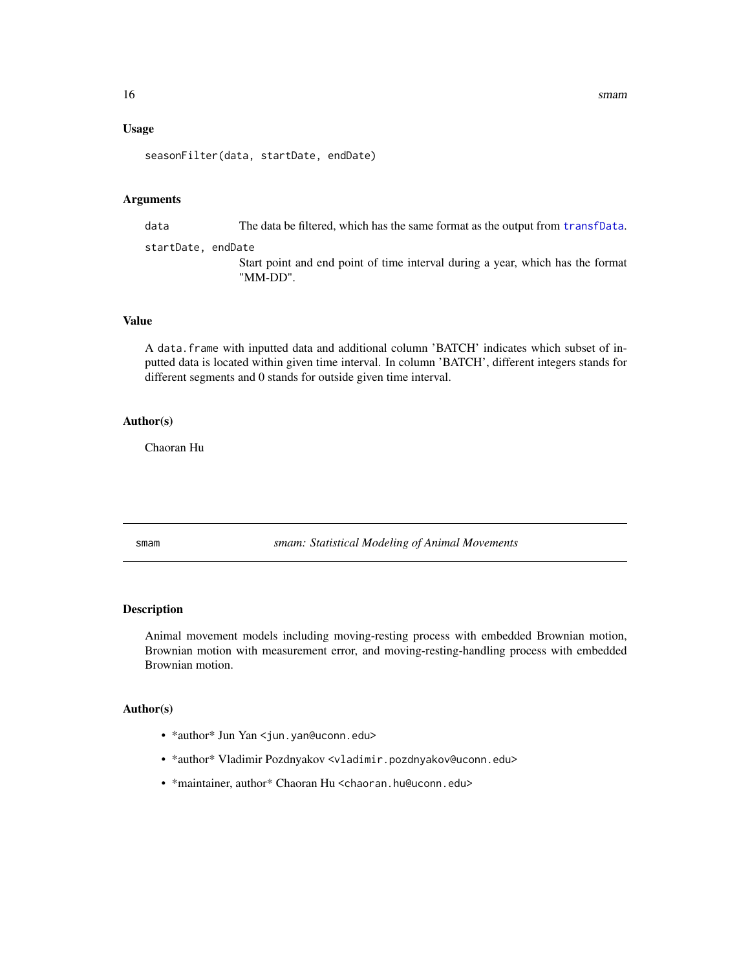#### <span id="page-15-0"></span>Usage

seasonFilter(data, startDate, endDate)

#### Arguments

data The data be filtered, which has the same format as the output from [transfData](#page-16-1).

startDate, endDate Start point and end point of time interval during a year, which has the format "MM-DD".

#### Value

A data.frame with inputted data and additional column 'BATCH' indicates which subset of inputted data is located within given time interval. In column 'BATCH', different integers stands for different segments and 0 stands for outside given time interval.

#### Author(s)

Chaoran Hu

smam *smam: Statistical Modeling of Animal Movements*

#### Description

Animal movement models including moving-resting process with embedded Brownian motion, Brownian motion with measurement error, and moving-resting-handling process with embedded Brownian motion.

#### Author(s)

- \*author\* Jun Yan <jun.yan@uconn.edu>
- \*author\* Vladimir Pozdnyakov <vladimir.pozdnyakov@uconn.edu>
- \*maintainer, author\* Chaoran Hu <chaoran.hu@uconn.edu>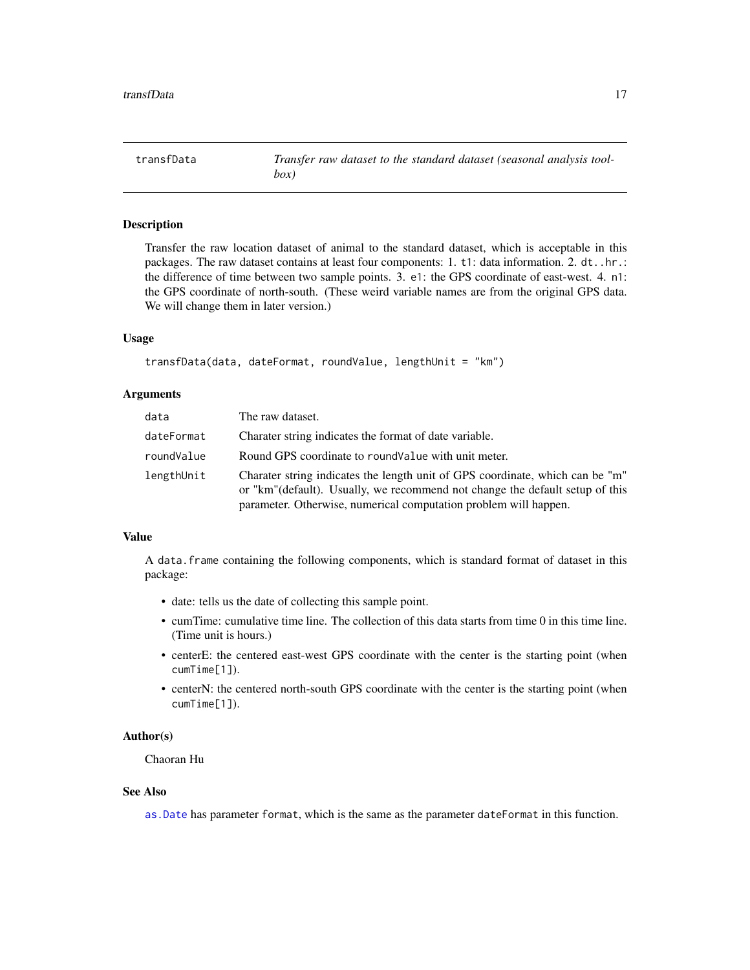<span id="page-16-1"></span><span id="page-16-0"></span>transfData *Transfer raw dataset to the standard dataset (seasonal analysis toolbox)*

#### Description

Transfer the raw location dataset of animal to the standard dataset, which is acceptable in this packages. The raw dataset contains at least four components: 1. t1: data information. 2. dt..hr.: the difference of time between two sample points. 3. e1: the GPS coordinate of east-west. 4. n1: the GPS coordinate of north-south. (These weird variable names are from the original GPS data. We will change them in later version.)

#### Usage

```
transfData(data, dateFormat, roundValue, lengthUnit = "km")
```
#### **Arguments**

| data       | The raw dataset.                                                                                                                                                                                                                   |
|------------|------------------------------------------------------------------------------------------------------------------------------------------------------------------------------------------------------------------------------------|
| dateFormat | Charater string indicates the format of date variable.                                                                                                                                                                             |
| roundValue | Round GPS coordinate to round Value with unit meter.                                                                                                                                                                               |
| lengthUnit | Charater string indicates the length unit of GPS coordinate, which can be "m"<br>or "km" (default). Usually, we recommend not change the default setup of this<br>parameter. Otherwise, numerical computation problem will happen. |

#### Value

A data.frame containing the following components, which is standard format of dataset in this package:

- date: tells us the date of collecting this sample point.
- cumTime: cumulative time line. The collection of this data starts from time 0 in this time line. (Time unit is hours.)
- centerE: the centered east-west GPS coordinate with the center is the starting point (when cumTime[1]).
- centerN: the centered north-south GPS coordinate with the center is the starting point (when cumTime[1]).

#### Author(s)

Chaoran Hu

#### See Also

[as.Date](#page-0-0) has parameter format, which is the same as the parameter dateFormat in this function.